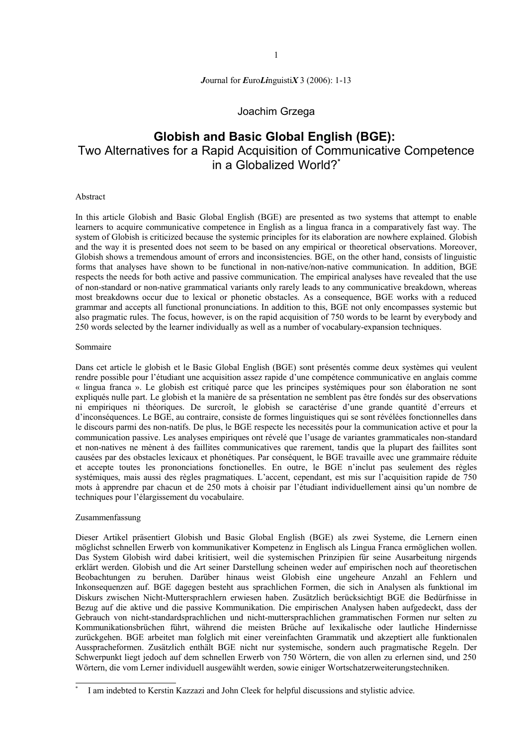*J*ournal for *E*uro*Li*nguisti*X* 3 (2006): 1-13

#### Joachim Grzega

# **Globish and Basic Global English (BGE):** Two Alternatives for a Rapid Acquisition of Communicative Competence in a Globalized World?**\***

#### Abstract

In this article Globish and Basic Global English (BGE) are presented as two systems that attempt to enable learners to acquire communicative competence in English as a lingua franca in a comparatively fast way. The system of Globish is criticized because the systemic principles for its elaboration are nowhere explained. Globish and the way it is presented does not seem to be based on any empirical or theoretical observations. Moreover, Globish shows a tremendous amount of errors and inconsistencies. BGE, on the other hand, consists of linguistic forms that analyses have shown to be functional in non-native/non-native communication. In addition, BGE respects the needs for both active and passive communication. The empirical analyses have revealed that the use of non-standard or non-native grammatical variants only rarely leads to any communicative breakdown, whereas most breakdowns occur due to lexical or phonetic obstacles. As a consequence, BGE works with a reduced grammar and accepts all functional pronunciations. In addition to this, BGE not only encompasses systemic but also pragmatic rules. The focus, however, is on the rapid acquisition of 750 words to be learnt by everybody and 250 words selected by the learner individually as well as a number of vocabulary-expansion techniques.

#### Sommaire

Dans cet article le globish et le Basic Global English (BGE) sont présentés comme deux systèmes qui veulent rendre possible pour l'étudiant une acquisition assez rapide d'une compétence communicative en anglais comme « lingua franca ». Le globish est critiqué parce que les principes systémiques pour son élaboration ne sont expliqués nulle part. Le globish et la manière de sa présentation ne semblent pas être fondés sur des observations ni empiriques ni théoriques. De surcroît, le globish se caractérise d'une grande quantité d'erreurs et d'inconséquences. Le BGE, au contraire, consiste de formes linguistiques qui se sont révélées fonctionnelles dans le discours parmi des non-natifs. De plus, le BGE respecte les necessités pour la communication active et pour la communication passive. Les analyses empiriques ont révelé que l'usage de variantes grammaticales non-standard et non-natives ne mènent à des faillites communicatives que rarement, tandis que la plupart des faillites sont causées par des obstacles lexicaux et phonétiques. Par conséquent, le BGE travaille avec une grammaire réduite et accepte toutes les prononciations fonctionelles. En outre, le BGE n'inclut pas seulement des règles systémiques, mais aussi des règles pragmatiques. L'accent, cependant, est mis sur l'acquisition rapide de 750 mots à apprendre par chacun et de 250 mots à choisir par l'étudiant individuellement ainsi qu'un nombre de techniques pour l'élargissement du vocabulaire.

#### Zusammenfassung

Dieser Artikel präsentiert Globish und Basic Global English (BGE) als zwei Systeme, die Lernern einen möglichst schnellen Erwerb von kommunikativer Kompetenz in Englisch als Lingua Franca ermöglichen wollen. Das System Globish wird dabei kritisiert, weil die systemischen Prinzipien für seine Ausarbeitung nirgends erklärt werden. Globish und die Art seiner Darstellung scheinen weder auf empirischen noch auf theoretischen Beobachtungen zu beruhen. Darüber hinaus weist Globish eine ungeheure Anzahl an Fehlern und Inkonsequenzen auf. BGE dagegen besteht aus sprachlichen Formen, die sich in Analysen als funktional im Diskurs zwischen Nicht-Muttersprachlern erwiesen haben. Zusätzlich berücksichtigt BGE die Bedürfnisse in Bezug auf die aktive und die passive Kommunikation. Die empirischen Analysen haben aufgedeckt, dass der Gebrauch von nicht-standardsprachlichen und nicht-muttersprachlichen grammatischen Formen nur selten zu Kommunikationsbrüchen führt, während die meisten Brüche auf lexikalische oder lautliche Hindernisse zurückgehen. BGE arbeitet man folglich mit einer vereinfachten Grammatik und akzeptiert alle funktionalen Ausspracheformen. Zusätzlich enthält BGE nicht nur systemische, sondern auch pragmatische Regeln. Der Schwerpunkt liegt jedoch auf dem schnellen Erwerb von 750 Wörtern, die von allen zu erlernen sind, und 250 Wörtern, die vom Lerner individuell ausgewählt werden, sowie einiger Wortschatzerweiterungstechniken.

<sup>\*</sup> I am indebted to Kerstin Kazzazi and John Cleek for helpful discussions and stylistic advice.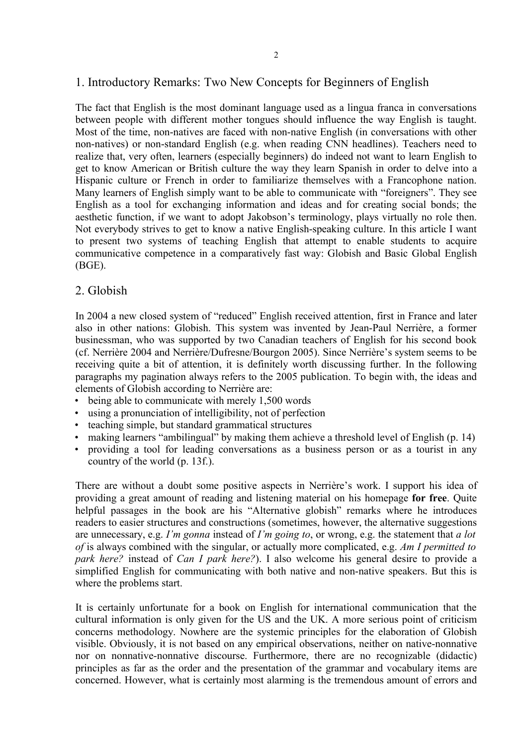# 1. Introductory Remarks: Two New Concepts for Beginners of English

The fact that English is the most dominant language used as a lingua franca in conversations between people with different mother tongues should influence the way English is taught. Most of the time, non-natives are faced with non-native English (in conversations with other non-natives) or non-standard English (e.g. when reading CNN headlines). Teachers need to realize that, very often, learners (especially beginners) do indeed not want to learn English to get to know American or British culture the way they learn Spanish in order to delve into a Hispanic culture or French in order to familiarize themselves with a Francophone nation. Many learners of English simply want to be able to communicate with "foreigners". They see English as a tool for exchanging information and ideas and for creating social bonds; the aesthetic function, if we want to adopt Jakobson's terminology, plays virtually no role then. Not everybody strives to get to know a native English-speaking culture. In this article I want to present two systems of teaching English that attempt to enable students to acquire communicative competence in a comparatively fast way: Globish and Basic Global English (BGE).

#### 2. Globish

In 2004 a new closed system of "reduced" English received attention, first in France and later also in other nations: Globish. This system was invented by Jean-Paul Nerrière, a former businessman, who was supported by two Canadian teachers of English for his second book (cf. Nerrière 2004 and Nerrière/Dufresne/Bourgon 2005). Since Nerrière's system seems to be receiving quite a bit of attention, it is definitely worth discussing further. In the following paragraphs my pagination always refers to the 2005 publication. To begin with, the ideas and elements of Globish according to Nerrière are:

- being able to communicate with merely 1,500 words
- using a pronunciation of intelligibility, not of perfection
- teaching simple, but standard grammatical structures
- making learners "ambilingual" by making them achieve a threshold level of English (p. 14)
- providing a tool for leading conversations as a business person or as a tourist in any country of the world (p. 13f.).

There are without a doubt some positive aspects in Nerrière's work. I support his idea of providing a great amount of reading and listening material on his homepage **for free**. Quite helpful passages in the book are his "Alternative globish" remarks where he introduces readers to easier structures and constructions (sometimes, however, the alternative suggestions are unnecessary, e.g. *I'm gonna* instead of *I'm going to*, or wrong, e.g. the statement that *a lot of* is always combined with the singular, or actually more complicated, e.g. *Am I permitted to park here?* instead of *Can I park here?*). I also welcome his general desire to provide a simplified English for communicating with both native and non-native speakers. But this is where the problems start.

It is certainly unfortunate for a book on English for international communication that the cultural information is only given for the US and the UK. A more serious point of criticism concerns methodology. Nowhere are the systemic principles for the elaboration of Globish visible. Obviously, it is not based on any empirical observations, neither on native-nonnative nor on nonnative-nonnative discourse. Furthermore, there are no recognizable (didactic) principles as far as the order and the presentation of the grammar and vocabulary items are concerned. However, what is certainly most alarming is the tremendous amount of errors and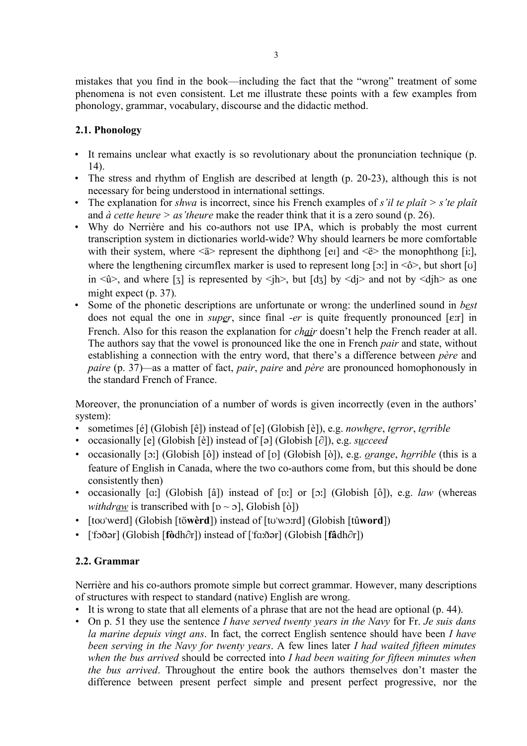mistakes that you find in the book—including the fact that the "wrong" treatment of some phenomena is not even consistent. Let me illustrate these points with a few examples from phonology, grammar, vocabulary, discourse and the didactic method.

# **2.1. Phonology**

- It remains unclear what exactly is so revolutionary about the pronunciation technique (p. 14).
- The stress and rhythm of English are described at length (p. 20-23), although this is not necessary for being understood in international settings.
- The explanation for *shwa* is incorrect, since his French examples of *s'il te plaît > s'te plaît* and *à cette heure > as'theure* make the reader think that it is a zero sound (p. 26).
- Why do Nerrière and his co-authors not use IPA, which is probably the most current transcription system in dictionaries world-wide? Why should learners be more comfortable with their system, where  $\langle \hat{a} \rangle$  represent the diphthong [ei] and  $\langle \hat{e} \rangle$  the monophthong [i:], where the lengthening circumflex marker is used to represent long [o:] in  $\langle \hat{O} \rangle$ , but short [o] in  $\langle \hat{u} \rangle$ , and where [3] is represented by  $\langle h \rangle$ , but [d3] by  $\langle di \rangle$  and not by  $\langle di \rangle$  as one might expect (p. 37).
- Some of the phonetic descriptions are unfortunate or wrong: the underlined sound in *best* does not equal the one in *super*, since final *-er* is quite frequently pronounced [E:r] in French. Also for this reason the explanation for *chair* doesn't help the French reader at all. The authors say that the vowel is pronounced like the one in French *pair* and state, without establishing a connection with the entry word, that there's a difference between *père* and *paire* (p. 37)*—*as a matter of fact, *pair*, *paire* and *père* are pronounced homophonously in the standard French of France.

Moreover, the pronunciation of a number of words is given incorrectly (even in the authors' system):

- sometimes [é] (Globish [ê]) instead of [e] (Globish [è]), e.g. *nowhere*, *terror*, *terrible*
- occasionally [e] (Globish [è]) instead of [ə] (Globish [∂]), e.g. *succeed*
- occasionally [o:] (Globish [ô]) instead of [p] (Globish [ò]), e.g. *orange*, *horrible* (this is a feature of English in Canada, where the two co-authors come from, but this should be done consistently then)
- occasionally [a:] (Globish [â]) instead of [v:] or [o:] (Globish [ô]), e.g. *law* (whereas *withdraw* is transcribed with  $[v \sim 5]$ , Globish  $[\delta]$ )
- [toʊˈwerd] (Globish [tö**wèrd**]) instead of [tʊˈwɔːrd] (Globish [tû**word**])
- ['fɔðər] (Globish [**fò**dh∂r]) instead of ['fɑ:ðər] (Globish [**fâ**dh∂r])

# **2.2. Grammar**

Nerrière and his co-authors promote simple but correct grammar. However, many descriptions of structures with respect to standard (native) English are wrong.

- It is wrong to state that all elements of a phrase that are not the head are optional (p. 44).
- On p. 51 they use the sentence *I have served twenty years in the Navy* for Fr. *Je suis dans la marine depuis vingt ans*. In fact, the correct English sentence should have been *I have been serving in the Navy for twenty years*. A few lines later *I had waited fifteen minutes when the bus arrived* should be corrected into *I had been waiting for fifteen minutes when the bus arrived*. Throughout the entire book the authors themselves don't master the difference between present perfect simple and present perfect progressive, nor the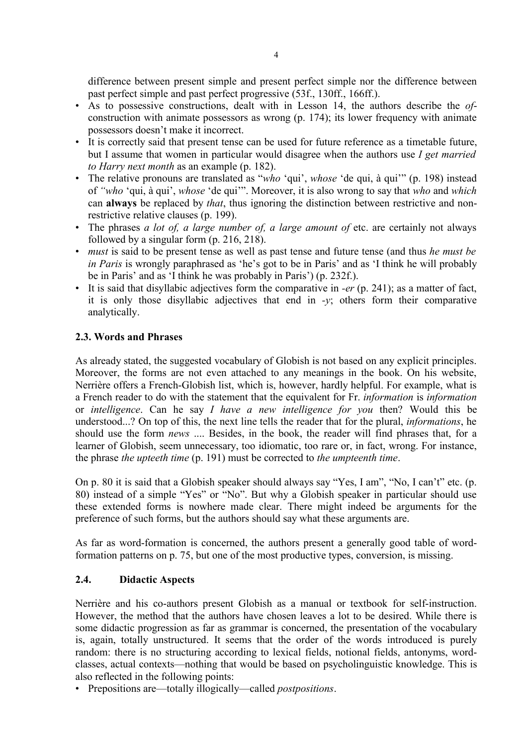difference between present simple and present perfect simple nor the difference between past perfect simple and past perfect progressive (53f., 130ff., 166ff.).

- As to possessive constructions, dealt with in Lesson 14, the authors describe the *of*construction with animate possessors as wrong (p. 174); its lower frequency with animate possessors doesn't make it incorrect.
- It is correctly said that present tense can be used for future reference as a timetable future, but I assume that women in particular would disagree when the authors use *I get married to Harry next month* as an example (p. 182).
- The relative pronouns are translated as "*who* 'qui', *whose* 'de qui, à qui'" (p. 198) instead of *"who* 'qui, à qui', *whose* 'de qui'". Moreover, it is also wrong to say that *who* and *which* can **always** be replaced by *that*, thus ignoring the distinction between restrictive and nonrestrictive relative clauses (p. 199).
- The phrases *a lot of, a large number of, a large amount of* etc. are certainly not always followed by a singular form (p. 216, 218).
- *must* is said to be present tense as well as past tense and future tense (and thus *he must be in Paris* is wrongly paraphrased as 'he's got to be in Paris' and as 'I think he will probably be in Paris' and as 'I think he was probably in Paris') (p. 232f.).
- It is said that disyllabic adjectives form the comparative in *-er* (p. 241); as a matter of fact, it is only those disyllabic adjectives that end in *-y*; others form their comparative analytically.

# **2.3. Words and Phrases**

As already stated, the suggested vocabulary of Globish is not based on any explicit principles. Moreover, the forms are not even attached to any meanings in the book. On his website, Nerrière offers a French-Globish list, which is, however, hardly helpful. For example, what is a French reader to do with the statement that the equivalent for Fr. *information* is *information* or *intelligence*. Can he say *I have a new intelligence for you* then? Would this be understood...? On top of this, the next line tells the reader that for the plural, *informations*, he should use the form *news* .... Besides, in the book, the reader will find phrases that, for a learner of Globish, seem unnecessary, too idiomatic, too rare or, in fact, wrong. For instance, the phrase *the upteeth time* (p. 191) must be corrected to *the umpteenth time*.

On p. 80 it is said that a Globish speaker should always say "Yes, I am", "No, I can't" etc. (p. 80) instead of a simple "Yes" or "No". But why a Globish speaker in particular should use these extended forms is nowhere made clear. There might indeed be arguments for the preference of such forms, but the authors should say what these arguments are.

As far as word-formation is concerned, the authors present a generally good table of wordformation patterns on p. 75, but one of the most productive types, conversion, is missing.

# **2.4. Didactic Aspects**

Nerrière and his co-authors present Globish as a manual or textbook for self-instruction. However, the method that the authors have chosen leaves a lot to be desired. While there is some didactic progression as far as grammar is concerned, the presentation of the vocabulary is, again, totally unstructured. It seems that the order of the words introduced is purely random: there is no structuring according to lexical fields, notional fields, antonyms, wordclasses, actual contexts—nothing that would be based on psycholinguistic knowledge. This is also reflected in the following points:

• Prepositions are—totally illogically—called *postpositions*.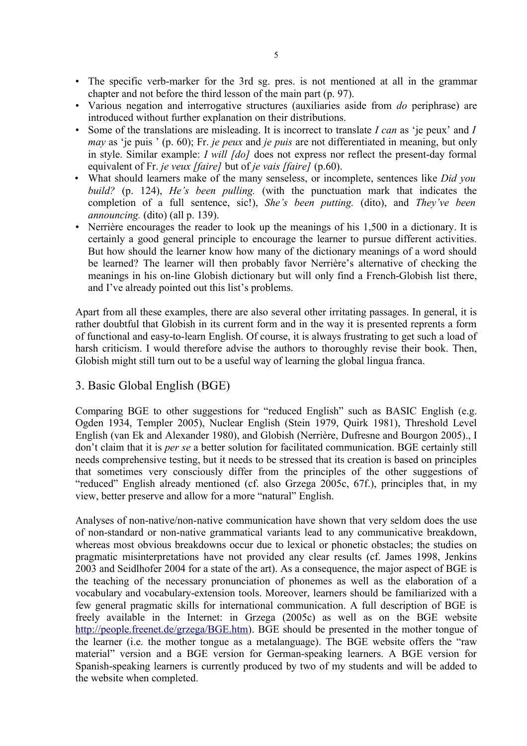- The specific verb-marker for the 3rd sg. pres. is not mentioned at all in the grammar chapter and not before the third lesson of the main part (p. 97).
- Various negation and interrogative structures (auxiliaries aside from *do* periphrase) are introduced without further explanation on their distributions.
- Some of the translations are misleading. It is incorrect to translate *I can* as 'je peux' and *I may* as 'je puis ' (p. 60); Fr. *je peux* and *je puis* are not differentiated in meaning, but only in style. Similar example: *I will [do]* does not express nor reflect the present-day formal equivalent of Fr. *je veux [faire]* but of *je vais [faire]* (p.60).
- What should learners make of the many senseless, or incomplete, sentences like *Did you build?* (p. 124), *He's been pulling.* (with the punctuation mark that indicates the completion of a full sentence, sic!), *She's been putting.* (dito), and *They've been announcing.* (dito) (all p. 139).
- Nerrière encourages the reader to look up the meanings of his 1,500 in a dictionary. It is certainly a good general principle to encourage the learner to pursue different activities. But how should the learner know how many of the dictionary meanings of a word should be learned? The learner will then probably favor Nerrière's alternative of checking the meanings in his on-line Globish dictionary but will only find a French-Globish list there, and I've already pointed out this list's problems.

Apart from all these examples, there are also several other irritating passages. In general, it is rather doubtful that Globish in its current form and in the way it is presented reprents a form of functional and easy-to-learn English. Of course, it is always frustrating to get such a load of harsh criticism. I would therefore advise the authors to thoroughly revise their book. Then, Globish might still turn out to be a useful way of learning the global lingua franca.

# 3. Basic Global English (BGE)

Comparing BGE to other suggestions for "reduced English" such as BASIC English (e.g. Ogden 1934, Templer 2005), Nuclear English (Stein 1979, Quirk 1981), Threshold Level English (van Ek and Alexander 1980), and Globish (Nerrière, Dufresne and Bourgon 2005)., I don't claim that it is *per se* a better solution for facilitated communication. BGE certainly still needs comprehensive testing, but it needs to be stressed that its creation is based on principles that sometimes very consciously differ from the principles of the other suggestions of "reduced" English already mentioned (cf. also Grzega 2005c, 67f.), principles that, in my view, better preserve and allow for a more "natural" English.

Analyses of non-native/non-native communication have shown that very seldom does the use of non-standard or non-native grammatical variants lead to any communicative breakdown, whereas most obvious breakdowns occur due to lexical or phonetic obstacles; the studies on pragmatic misinterpretations have not provided any clear results (cf. James 1998, Jenkins 2003 and Seidlhofer 2004 for a state of the art). As a consequence, the major aspect of BGE is the teaching of the necessary pronunciation of phonemes as well as the elaboration of a vocabulary and vocabulary-extension tools. Moreover, learners should be familiarized with a few general pragmatic skills for international communication. A full description of BGE is freely available in the Internet: in Grzega (2005c) as well as on the BGE website http://people.freenet.de/grzega/BGE.htm). BGE should be presented in the mother tongue of the learner (i.e. the mother tongue as a metalanguage). The BGE website offers the "raw material" version and a BGE version for German-speaking learners. A BGE version for Spanish-speaking learners is currently produced by two of my students and will be added to the website when completed.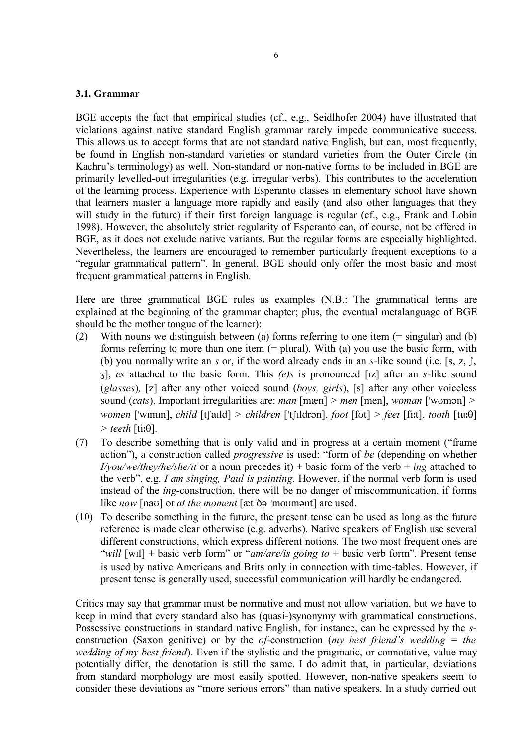#### **3.1. Grammar**

BGE accepts the fact that empirical studies (cf., e.g., Seidlhofer 2004) have illustrated that violations against native standard English grammar rarely impede communicative success. This allows us to accept forms that are not standard native English, but can, most frequently, be found in English non-standard varieties or standard varieties from the Outer Circle (in Kachru's terminology) as well. Non-standard or non-native forms to be included in BGE are primarily levelled-out irregularities (e.g. irregular verbs). This contributes to the acceleration of the learning process. Experience with Esperanto classes in elementary school have shown that learners master a language more rapidly and easily (and also other languages that they will study in the future) if their first foreign language is regular (cf., e.g., Frank and Lobin 1998). However, the absolutely strict regularity of Esperanto can, of course, not be offered in BGE, as it does not exclude native variants. But the regular forms are especially highlighted. Nevertheless, the learners are encouraged to remember particularly frequent exceptions to a "regular grammatical pattern". In general, BGE should only offer the most basic and most frequent grammatical patterns in English.

Here are three grammatical BGE rules as examples (N.B.: The grammatical terms are explained at the beginning of the grammar chapter; plus, the eventual metalanguage of BGE should be the mother tongue of the learner):

- (2) With nouns we distinguish between (a) forms referring to one item (= singular) and (b) forms referring to more than one item  $(=$  plural). With  $(a)$  you use the basic form, with (b) you normally write an *s* or, if the word already ends in an *s*-like sound (i.e. [s, z,  $\int$ , J], *es* attached to the basic form. This *(e)s* is pronounced [çz] after an *s-*like sound (*glasses*)*,* [z] after any other voiced sound (*boys, girls*), [s] after any other voiceless sound (*cats*). Important irregularities are: *man* [mæn] *> men* [men], *woman* ['woman] *> women* ['wimin], *child* [t[aild] *> children* ['t[ildrən], *foot* [fot] *> feet* [fi:t], *tooth* [tu: $\theta$ ]  $>$  *teeth* [ti: $\theta$ ].
- (7) To describe something that is only valid and in progress at a certain moment ("frame action"), a construction called *progressive* is used: "form of *be* (depending on whether *I/you/we/they/he/she/it* or a noun precedes it) + basic form of the verb + *ing* attached to the verb", e.g. *I am singing, Paul is painting*. However, if the normal verb form is used instead of the *ing*-construction, there will be no danger of miscommunication, if forms like *now* [nav] or *at the moment* [æt ðə 'movmant] are used.
- (10) To describe something in the future, the present tense can be used as long as the future reference is made clear otherwise (e.g. adverbs). Native speakers of English use several different constructions, which express different notions. The two most frequent ones are "*will* [wçl] + basic verb form" or "*am/are/is going to* + basic verb form". Present tense is used by native Americans and Brits only in connection with time-tables. However, if present tense is generally used, successful communication will hardly be endangered.

Critics may say that grammar must be normative and must not allow variation, but we have to keep in mind that every standard also has (quasi-)synonymy with grammatical constructions. Possessive constructions in standard native English, for instance, can be expressed by the *s*construction (Saxon genitive) or by the *of-*construction (*my best friend's wedding = the wedding of my best friend*). Even if the stylistic and the pragmatic, or connotative, value may potentially differ, the denotation is still the same. I do admit that, in particular, deviations from standard morphology are most easily spotted. However, non-native speakers seem to consider these deviations as "more serious errors" than native speakers. In a study carried out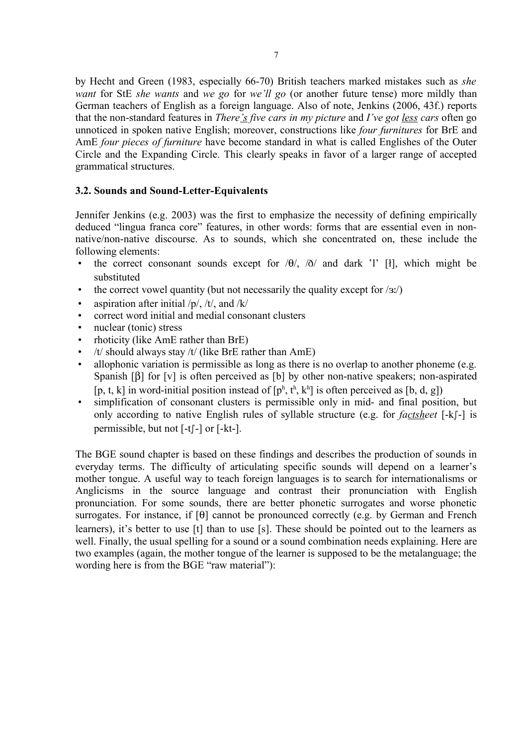by Hecht and Green (1983, especially 66-70) British teachers marked mistakes such as *she want* for StE *she wants* and *we go* for *we'll go* (or another future tense) more mildly than German teachers of English as a foreign language. Also of note, Jenkins (2006, 43f.) reports that the non-standard features in *There's five cars in my picture* and *I've got less cars* often go unnoticed in spoken native English; moreover, constructions like *four furnitures* for BrE and AmE *four pieces of furniture* have become standard in what is called Englishes of the Outer Circle and the Expanding Circle. This clearly speaks in favor of a larger range of accepted grammatical structures.

#### **3.2. Sounds and Sound-Letter-Equivalents**

Jennifer Jenkins (e.g. 2003) was the first to emphasize the necessity of defining empirically deduced "lingua franca core" features, in other words: forms that are essential even in nonnative/non-native discourse. As to sounds, which she concentrated on, these include the following elements:

- the correct consonant sounds except for  $\theta$ ,  $\delta$  and dark 'l' [ł], which might be substituted
- the correct vowel quantity (but not necessarily the quality except for  $\langle a x \rangle$ )
- aspiration after initial  $/p/$ ,  $/t/$ , and  $/k/$
- correct word initial and medial consonant clusters
- nuclear (tonic) stress
- rhoticity (like AmE rather than BrE)
- /t/ should always stay /t/ (like BrE rather than  $A$ mE)
- allophonic variation is permissible as long as there is no overlap to another phoneme (e.g. Spanish  $[\beta]$  for  $[v]$  is often perceived as  $[b]$  by other non-native speakers; non-aspirated [p, t, k] in word-initial position instead of  $[p^h, t^h, k^h]$  is often perceived as [b, d, g])
- simplification of consonant clusters is permissible only in mid- and final position, but only according to native English rules of syllable structure (e.g. for *factsheet* [-k[-] is permissible, but not  $[-t]$ - $\sigma$  [-kt-].

The BGE sound chapter is based on these findings and describes the production of sounds in everyday terms. The difficulty of articulating specific sounds will depend on a learner's mother tongue. A useful way to teach foreign languages is to search for internationalisms or Anglicisms in the source language and contrast their pronunciation with English pronunciation. For some sounds, there are better phonetic surrogates and worse phonetic surrogates. For instance, if  $[\theta]$  cannot be pronounced correctly (e.g. by German and French learners), it's better to use [t] than to use [s]. These should be pointed out to the learners as well. Finally, the usual spelling for a sound or a sound combination needs explaining. Here are two examples (again, the mother tongue of the learner is supposed to be the metalanguage; the wording here is from the BGE "raw material"):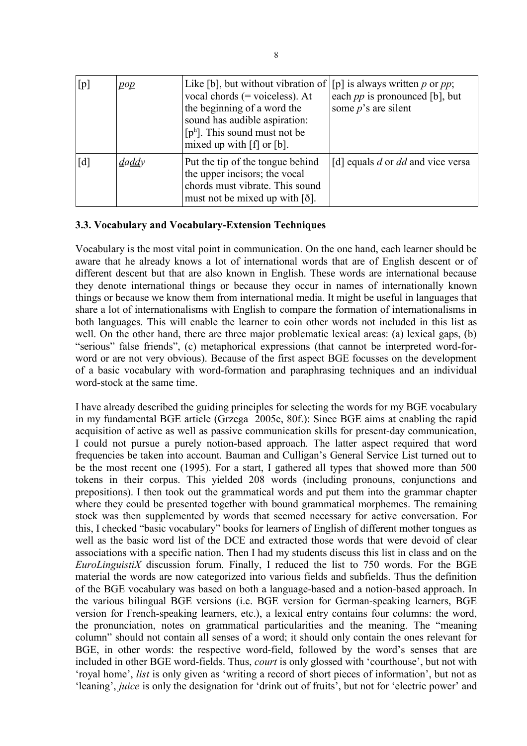| [p] | $\overline{p}$ | Like [b], but without vibration of $ $ [p] is always written p or pp;<br>vocal chords $(=$ voiceless). At<br>the beginning of a word the<br>sound has audible aspiration:<br>$[p^h]$ . This sound must not be<br>mixed up with $[f]$ or $[b]$ . | each $pp$ is pronounced [b], but<br>some $p$ 's are silent |
|-----|----------------|-------------------------------------------------------------------------------------------------------------------------------------------------------------------------------------------------------------------------------------------------|------------------------------------------------------------|
| [d] | daddy          | Put the tip of the tongue behind<br>the upper incisors; the vocal<br>chords must vibrate. This sound<br>must not be mixed up with $\lceil \delta \rceil$ .                                                                                      | [d] equals $d$ or $dd$ and vice versa                      |

#### **3.3. Vocabulary and Vocabulary-Extension Techniques**

Vocabulary is the most vital point in communication. On the one hand, each learner should be aware that he already knows a lot of international words that are of English descent or of different descent but that are also known in English. These words are international because they denote international things or because they occur in names of internationally known things or because we know them from international media. It might be useful in languages that share a lot of internationalisms with English to compare the formation of internationalisms in both languages. This will enable the learner to coin other words not included in this list as well. On the other hand, there are three major problematic lexical areas: (a) lexical gaps, (b) "serious" false friends", (c) metaphorical expressions (that cannot be interpreted word-forword or are not very obvious). Because of the first aspect BGE focusses on the development of a basic vocabulary with word-formation and paraphrasing techniques and an individual word-stock at the same time.

I have already described the guiding principles for selecting the words for my BGE vocabulary in my fundamental BGE article (Grzega 2005c, 80f.): Since BGE aims at enabling the rapid acquisition of active as well as passive communication skills for present-day communication, I could not pursue a purely notion-based approach. The latter aspect required that word frequencies be taken into account. Bauman and Culligan's General Service List turned out to be the most recent one (1995). For a start, I gathered all types that showed more than 500 tokens in their corpus. This yielded 208 words (including pronouns, conjunctions and prepositions). I then took out the grammatical words and put them into the grammar chapter where they could be presented together with bound grammatical morphemes. The remaining stock was then supplemented by words that seemed necessary for active conversation. For this, I checked "basic vocabulary" books for learners of English of different mother tongues as well as the basic word list of the DCE and extracted those words that were devoid of clear associations with a specific nation. Then I had my students discuss this list in class and on the *EuroLinguistiX* discussion forum. Finally, I reduced the list to 750 words. For the BGE material the words are now categorized into various fields and subfields. Thus the definition of the BGE vocabulary was based on both a language-based and a notion-based approach. In the various bilingual BGE versions (i.e. BGE version for German-speaking learners, BGE version for French-speaking learners, etc.), a lexical entry contains four columns: the word, the pronunciation, notes on grammatical particularities and the meaning. The "meaning column" should not contain all senses of a word; it should only contain the ones relevant for BGE, in other words: the respective word-field, followed by the word's senses that are included in other BGE word-fields. Thus, *court* is only glossed with 'courthouse', but not with 'royal home', *list* is only given as 'writing a record of short pieces of information', but not as 'leaning', *juice* is only the designation for 'drink out of fruits', but not for 'electric power' and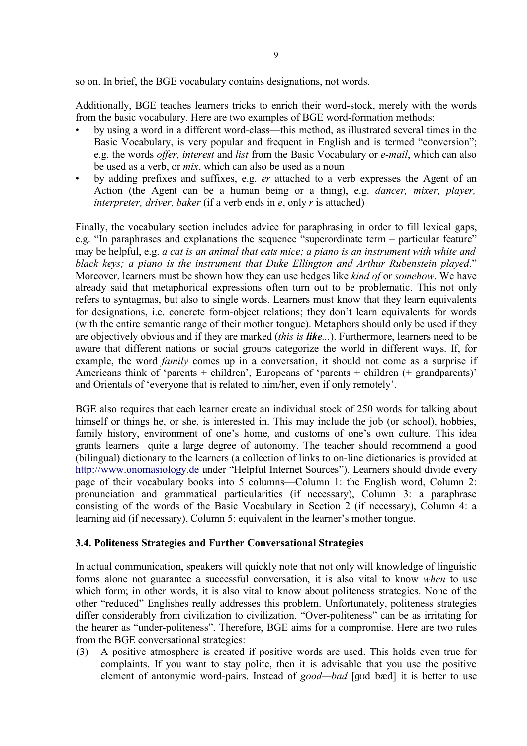so on. In brief, the BGE vocabulary contains designations, not words.

Additionally, BGE teaches learners tricks to enrich their word-stock, merely with the words from the basic vocabulary. Here are two examples of BGE word-formation methods:

- by using a word in a different word-class—this method, as illustrated several times in the Basic Vocabulary, is very popular and frequent in English and is termed "conversion"; e.g. the words *offer, interest* and *list* from the Basic Vocabulary or *e-mail*, which can also be used as a verb, or *mix*, which can also be used as a noun
- by adding prefixes and suffixes, e.g. *er* attached to a verb expresses the Agent of an Action (the Agent can be a human being or a thing), e.g. *dancer, mixer, player, interpreter, driver, baker* (if a verb ends in *e*, only *r* is attached)

Finally, the vocabulary section includes advice for paraphrasing in order to fill lexical gaps, e.g. "In paraphrases and explanations the sequence "superordinate term – particular feature" may be helpful, e.g. *a cat is an animal that eats mice; a piano is an instrument with white and black keys; a piano is the instrument that Duke Ellington and Arthur Rubenstein played*." Moreover, learners must be shown how they can use hedges like *kind of* or *somehow*. We have already said that metaphorical expressions often turn out to be problematic. This not only refers to syntagmas, but also to single words. Learners must know that they learn equivalents for designations, i.e. concrete form-object relations; they don't learn equivalents for words (with the entire semantic range of their mother tongue). Metaphors should only be used if they are objectively obvious and if they are marked (*this is like...*). Furthermore, learners need to be aware that different nations or social groups categorize the world in different ways. If, for example, the word *family* comes up in a conversation, it should not come as a surprise if Americans think of 'parents + children', Europeans of 'parents + children (+ grandparents)' and Orientals of 'everyone that is related to him/her, even if only remotely'.

BGE also requires that each learner create an individual stock of 250 words for talking about himself or things he, or she, is interested in. This may include the job (or school), hobbies, family history, environment of one's home, and customs of one's own culture. This idea grants learners quite a large degree of autonomy. The teacher should recommend a good (bilingual) dictionary to the learners (a collection of links to on-line dictionaries is provided at http://www.onomasiology.de under "Helpful Internet Sources"). Learners should divide every page of their vocabulary books into 5 columns—Column 1: the English word, Column 2: pronunciation and grammatical particularities (if necessary), Column 3: a paraphrase consisting of the words of the Basic Vocabulary in Section 2 (if necessary), Column 4: a learning aid (if necessary), Column 5: equivalent in the learner's mother tongue.

# **3.4. Politeness Strategies and Further Conversational Strategies**

In actual communication, speakers will quickly note that not only will knowledge of linguistic forms alone not guarantee a successful conversation, it is also vital to know *when* to use which form; in other words, it is also vital to know about politeness strategies. None of the other "reduced" Englishes really addresses this problem. Unfortunately, politeness strategies differ considerably from civilization to civilization. "Over-politeness" can be as irritating for the hearer as "under-politeness". Therefore, BGE aims for a compromise. Here are two rules from the BGE conversational strategies:

(3) A positive atmosphere is created if positive words are used. This holds even true for complaints. If you want to stay polite, then it is advisable that you use the positive element of antonymic word-pairs. Instead of *good—bad* [god bæd] it is better to use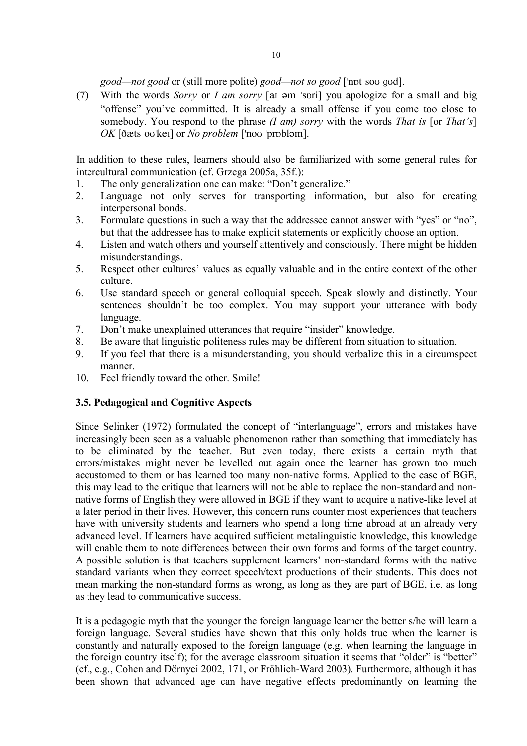*good—not good* or (still more polite) *good—not so good* ['npt sou gud].

(7) With the words *Sorry* or *I am sorry* [at  $\theta$  >m 'spri] you apologize for a small and big "offense" you've committed. It is already a small offense if you come too close to somebody. You respond to the phrase *(I am) sorry* with the words *That is* [or *That's*] *OK* [dets ov||kel] or *No problem* [ $'no$ ] [problom].

In addition to these rules, learners should also be familiarized with some general rules for intercultural communication (cf. Grzega 2005a, 35f.):

- 1. The only generalization one can make: "Don't generalize."
- 2. Language not only serves for transporting information, but also for creating interpersonal bonds.
- 3. Formulate questions in such a way that the addressee cannot answer with "yes" or "no", but that the addressee has to make explicit statements or explicitly choose an option.
- 4. Listen and watch others and yourself attentively and consciously. There might be hidden misunderstandings.
- 5. Respect other cultures' values as equally valuable and in the entire context of the other culture.
- 6. Use standard speech or general colloquial speech. Speak slowly and distinctly. Your sentences shouldn't be too complex. You may support your utterance with body language.
- 7. Don't make unexplained utterances that require "insider" knowledge.
- 8. Be aware that linguistic politeness rules may be different from situation to situation.
- 9. If you feel that there is a misunderstanding, you should verbalize this in a circumspect manner.
- 10. Feel friendly toward the other. Smile!

# **3.5. Pedagogical and Cognitive Aspects**

Since Selinker (1972) formulated the concept of "interlanguage", errors and mistakes have increasingly been seen as a valuable phenomenon rather than something that immediately has to be eliminated by the teacher. But even today, there exists a certain myth that errors/mistakes might never be levelled out again once the learner has grown too much accustomed to them or has learned too many non-native forms. Applied to the case of BGE, this may lead to the critique that learners will not be able to replace the non-standard and nonnative forms of English they were allowed in BGE if they want to acquire a native-like level at a later period in their lives. However, this concern runs counter most experiences that teachers have with university students and learners who spend a long time abroad at an already very advanced level. If learners have acquired sufficient metalinguistic knowledge, this knowledge will enable them to note differences between their own forms and forms of the target country. A possible solution is that teachers supplement learners' non-standard forms with the native standard variants when they correct speech/text productions of their students. This does not mean marking the non-standard forms as wrong, as long as they are part of BGE, i.e. as long as they lead to communicative success.

It is a pedagogic myth that the younger the foreign language learner the better s/he will learn a foreign language. Several studies have shown that this only holds true when the learner is constantly and naturally exposed to the foreign language (e.g. when learning the language in the foreign country itself); for the average classroom situation it seems that "older" is "better" (cf., e.g., Cohen and Dörnyei 2002, 171, or Fröhlich-Ward 2003). Furthermore, although it has been shown that advanced age can have negative effects predominantly on learning the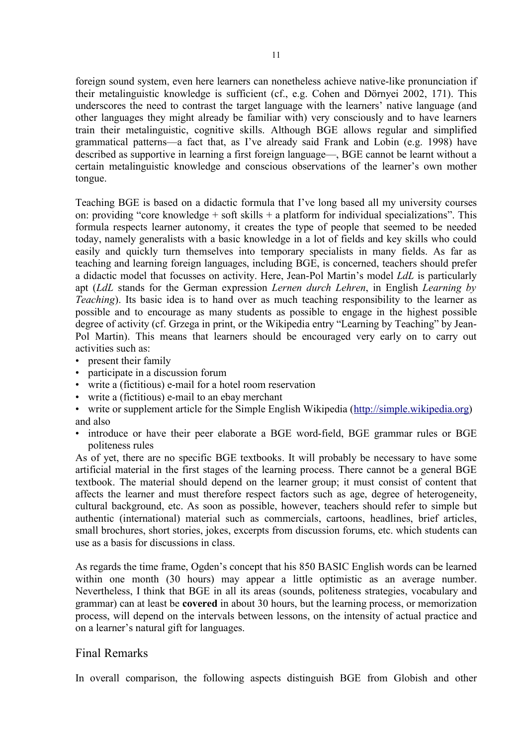foreign sound system, even here learners can nonetheless achieve native-like pronunciation if their metalinguistic knowledge is sufficient (cf., e.g. Cohen and Dörnyei 2002, 171). This underscores the need to contrast the target language with the learners' native language (and other languages they might already be familiar with) very consciously and to have learners train their metalinguistic, cognitive skills. Although BGE allows regular and simplified grammatical patterns—a fact that, as I've already said Frank and Lobin (e.g. 1998) have described as supportive in learning a first foreign language—, BGE cannot be learnt without a certain metalinguistic knowledge and conscious observations of the learner's own mother tongue.

Teaching BGE is based on a didactic formula that I've long based all my university courses on: providing "core knowledge  $+$  soft skills  $+$  a platform for individual specializations". This formula respects learner autonomy, it creates the type of people that seemed to be needed today, namely generalists with a basic knowledge in a lot of fields and key skills who could easily and quickly turn themselves into temporary specialists in many fields. As far as teaching and learning foreign languages, including BGE, is concerned, teachers should prefer a didactic model that focusses on activity. Here, Jean-Pol Martin's model *LdL* is particularly apt (*LdL* stands for the German expression *Lernen durch Lehren*, in English *Learning by Teaching*). Its basic idea is to hand over as much teaching responsibility to the learner as possible and to encourage as many students as possible to engage in the highest possible degree of activity (cf. Grzega in print, or the Wikipedia entry "Learning by Teaching" by Jean-Pol Martin). This means that learners should be encouraged very early on to carry out activities such as:

- present their family
- participate in a discussion forum
- write a (fictitious) e-mail for a hotel room reservation
- write a (fictitious) e-mail to an ebay merchant
- write or supplement article for the Simple English Wikipedia (http://simple.wikipedia.org) and also
- introduce or have their peer elaborate a BGE word-field, BGE grammar rules or BGE politeness rules

As of yet, there are no specific BGE textbooks. It will probably be necessary to have some artificial material in the first stages of the learning process. There cannot be a general BGE textbook. The material should depend on the learner group; it must consist of content that affects the learner and must therefore respect factors such as age, degree of heterogeneity, cultural background, etc. As soon as possible, however, teachers should refer to simple but authentic (international) material such as commercials, cartoons, headlines, brief articles, small brochures, short stories, jokes, excerpts from discussion forums, etc. which students can use as a basis for discussions in class.

As regards the time frame, Ogden's concept that his 850 BASIC English words can be learned within one month (30 hours) may appear a little optimistic as an average number. Nevertheless, I think that BGE in all its areas (sounds, politeness strategies, vocabulary and grammar) can at least be **covered** in about 30 hours, but the learning process, or memorization process, will depend on the intervals between lessons, on the intensity of actual practice and on a learner's natural gift for languages.

# Final Remarks

In overall comparison, the following aspects distinguish BGE from Globish and other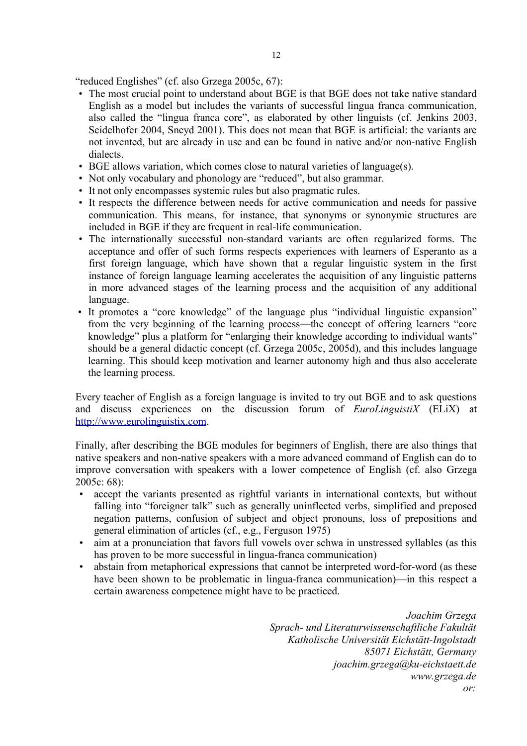"reduced Englishes" (cf. also Grzega 2005c, 67):

- The most crucial point to understand about BGE is that BGE does not take native standard English as a model but includes the variants of successful lingua franca communication, also called the "lingua franca core", as elaborated by other linguists (cf. Jenkins 2003, Seidelhofer 2004, Sneyd 2001). This does not mean that BGE is artificial: the variants are not invented, but are already in use and can be found in native and/or non-native English dialects.
- BGE allows variation, which comes close to natural varieties of language(s).
- Not only vocabulary and phonology are "reduced", but also grammar.
- It not only encompasses systemic rules but also pragmatic rules.
- It respects the difference between needs for active communication and needs for passive communication. This means, for instance, that synonyms or synonymic structures are included in BGE if they are frequent in real-life communication.
- The internationally successful non-standard variants are often regularized forms. The acceptance and offer of such forms respects experiences with learners of Esperanto as a first foreign language, which have shown that a regular linguistic system in the first instance of foreign language learning accelerates the acquisition of any linguistic patterns in more advanced stages of the learning process and the acquisition of any additional language.
- It promotes a "core knowledge" of the language plus "individual linguistic expansion" from the very beginning of the learning process—the concept of offering learners "core knowledge" plus a platform for "enlarging their knowledge according to individual wants" should be a general didactic concept (cf. Grzega 2005c, 2005d), and this includes language learning. This should keep motivation and learner autonomy high and thus also accelerate the learning process.

Every teacher of English as a foreign language is invited to try out BGE and to ask questions and discuss experiences on the discussion forum of *EuroLinguistiX* (ELiX) at http://www.eurolinguistix.com.

Finally, after describing the BGE modules for beginners of English, there are also things that native speakers and non-native speakers with a more advanced command of English can do to improve conversation with speakers with a lower competence of English (cf. also Grzega 2005c: 68):

- accept the variants presented as rightful variants in international contexts, but without falling into "foreigner talk" such as generally uninflected verbs, simplified and preposed negation patterns, confusion of subject and object pronouns, loss of prepositions and general elimination of articles (cf., e.g., Ferguson 1975)
- aim at a pronunciation that favors full vowels over schwa in unstressed syllables (as this has proven to be more successful in lingua-franca communication)
- abstain from metaphorical expressions that cannot be interpreted word-for-word (as these have been shown to be problematic in lingua-franca communication)—in this respect a certain awareness competence might have to be practiced.

*Joachim Grzega Sprach- und Literaturwissenschaftliche Fakultät Katholische Universität Eichstätt-Ingolstadt 85071 Eichstätt, Germany joachim.grzega@ku-eichstaett.de www.grzega.de or:*